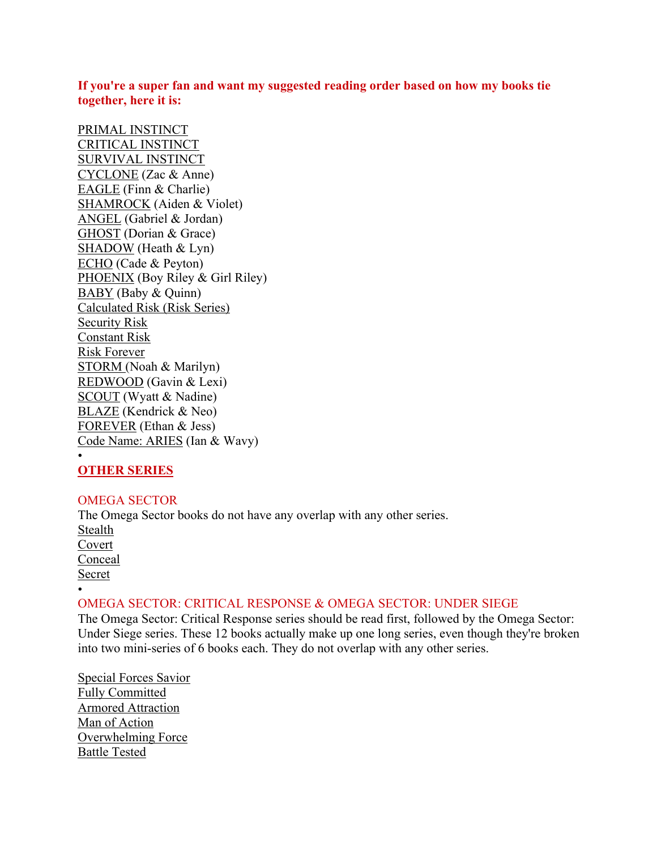## **If you're a super fan and want my suggested reading order based on how my books tie together, here it is:**

PRIMAL INSTINCT CRITICAL INSTINCT SURVIVAL INSTINCT CYCLONE (Zac & Anne) EAGLE (Finn & Charlie) SHAMROCK (Aiden & Violet) ANGEL (Gabriel & Jordan) GHOST (Dorian & Grace) SHADOW (Heath & Lyn) ECHO (Cade & Peyton) PHOENIX (Boy Riley & Girl Riley) BABY (Baby & Quinn) Calculated Risk (Risk Series) Security Risk Constant Risk Risk Forever STORM (Noah & Marilyn) REDWOOD (Gavin & Lexi) SCOUT (Wyatt & Nadine) BLAZE (Kendrick & Neo) FOREVER (Ethan & Jess) Code Name: ARIES (Ian & Wavy) •

## **OTHER SERIES**

## OMEGA SECTOR

The Omega Sector books do not have any overlap with any other series. Stealth Covert **Conceal** Secret •

## OMEGA SECTOR: CRITICAL RESPONSE & OMEGA SECTOR: UNDER SIEGE

The Omega Sector: Critical Response series should be read first, followed by the Omega Sector: Under Siege series. These 12 books actually make up one long series, even though they're broken into two mini-series of 6 books each. They do not overlap with any other series.

Special Forces Savior Fully Committed Armored Attraction Man of Action Overwhelming Force Battle Tested